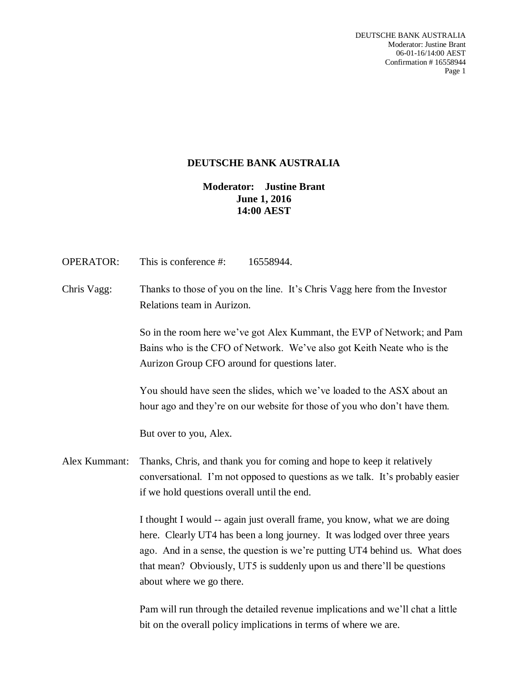DEUTSCHE BANK AUSTRALIA Moderator: Justine Brant 06-01-16/14:00 AEST Confirmation # 16558944 Page 1

# **DEUTSCHE BANK AUSTRALIA**

**Moderator: Justine Brant June 1, 2016 14:00 AEST**

| <b>OPERATOR:</b> | This is conference #:<br>16558944.                                                                                                                                                                                                                                                                                                            |
|------------------|-----------------------------------------------------------------------------------------------------------------------------------------------------------------------------------------------------------------------------------------------------------------------------------------------------------------------------------------------|
| Chris Vagg:      | Thanks to those of you on the line. It's Chris Vagg here from the Investor<br>Relations team in Aurizon.                                                                                                                                                                                                                                      |
|                  | So in the room here we've got Alex Kummant, the EVP of Network; and Pam<br>Bains who is the CFO of Network. We've also got Keith Neate who is the<br>Aurizon Group CFO around for questions later.                                                                                                                                            |
|                  | You should have seen the slides, which we've loaded to the ASX about an<br>hour ago and they're on our website for those of you who don't have them.                                                                                                                                                                                          |
|                  | But over to you, Alex.                                                                                                                                                                                                                                                                                                                        |
| Alex Kummant:    | Thanks, Chris, and thank you for coming and hope to keep it relatively<br>conversational. I'm not opposed to questions as we talk. It's probably easier<br>if we hold questions overall until the end.                                                                                                                                        |
|                  | I thought I would -- again just overall frame, you know, what we are doing<br>here. Clearly UT4 has been a long journey. It was lodged over three years<br>ago. And in a sense, the question is we're putting UT4 behind us. What does<br>that mean? Obviously, UT5 is suddenly upon us and there'll be questions<br>about where we go there. |
|                  | Pam will run through the detailed revenue implications and we'll chat a little<br>bit on the overall policy implications in terms of where we are.                                                                                                                                                                                            |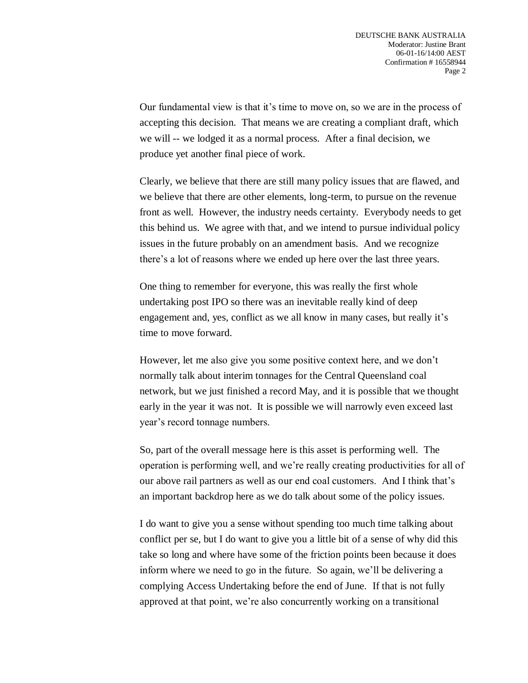Our fundamental view is that it's time to move on, so we are in the process of accepting this decision. That means we are creating a compliant draft, which we will -- we lodged it as a normal process. After a final decision, we produce yet another final piece of work.

Clearly, we believe that there are still many policy issues that are flawed, and we believe that there are other elements, long-term, to pursue on the revenue front as well. However, the industry needs certainty. Everybody needs to get this behind us. We agree with that, and we intend to pursue individual policy issues in the future probably on an amendment basis. And we recognize there's a lot of reasons where we ended up here over the last three years.

One thing to remember for everyone, this was really the first whole undertaking post IPO so there was an inevitable really kind of deep engagement and, yes, conflict as we all know in many cases, but really it's time to move forward.

However, let me also give you some positive context here, and we don't normally talk about interim tonnages for the Central Queensland coal network, but we just finished a record May, and it is possible that we thought early in the year it was not. It is possible we will narrowly even exceed last year's record tonnage numbers.

So, part of the overall message here is this asset is performing well. The operation is performing well, and we're really creating productivities for all of our above rail partners as well as our end coal customers. And I think that's an important backdrop here as we do talk about some of the policy issues.

I do want to give you a sense without spending too much time talking about conflict per se, but I do want to give you a little bit of a sense of why did this take so long and where have some of the friction points been because it does inform where we need to go in the future. So again, we'll be delivering a complying Access Undertaking before the end of June. If that is not fully approved at that point, we're also concurrently working on a transitional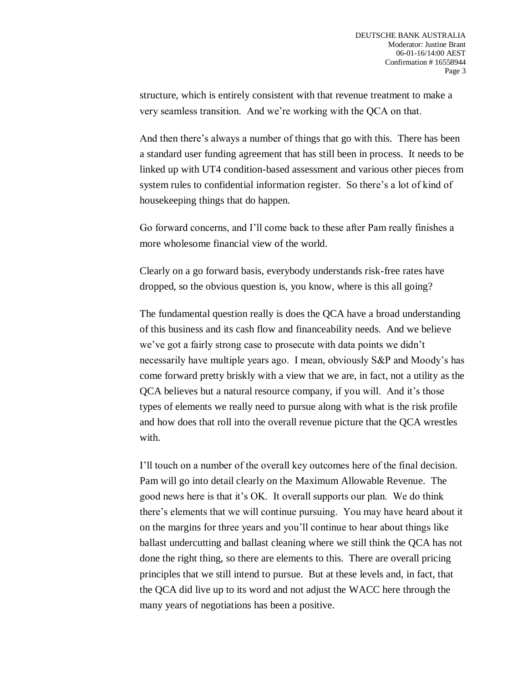structure, which is entirely consistent with that revenue treatment to make a very seamless transition. And we're working with the QCA on that.

And then there's always a number of things that go with this. There has been a standard user funding agreement that has still been in process. It needs to be linked up with UT4 condition-based assessment and various other pieces from system rules to confidential information register. So there's a lot of kind of housekeeping things that do happen.

Go forward concerns, and I'll come back to these after Pam really finishes a more wholesome financial view of the world.

Clearly on a go forward basis, everybody understands risk-free rates have dropped, so the obvious question is, you know, where is this all going?

The fundamental question really is does the QCA have a broad understanding of this business and its cash flow and financeability needs. And we believe we've got a fairly strong case to prosecute with data points we didn't necessarily have multiple years ago. I mean, obviously S&P and Moody's has come forward pretty briskly with a view that we are, in fact, not a utility as the QCA believes but a natural resource company, if you will. And it's those types of elements we really need to pursue along with what is the risk profile and how does that roll into the overall revenue picture that the QCA wrestles with.

I'll touch on a number of the overall key outcomes here of the final decision. Pam will go into detail clearly on the Maximum Allowable Revenue. The good news here is that it's OK. It overall supports our plan. We do think there's elements that we will continue pursuing. You may have heard about it on the margins for three years and you'll continue to hear about things like ballast undercutting and ballast cleaning where we still think the QCA has not done the right thing, so there are elements to this. There are overall pricing principles that we still intend to pursue. But at these levels and, in fact, that the QCA did live up to its word and not adjust the WACC here through the many years of negotiations has been a positive.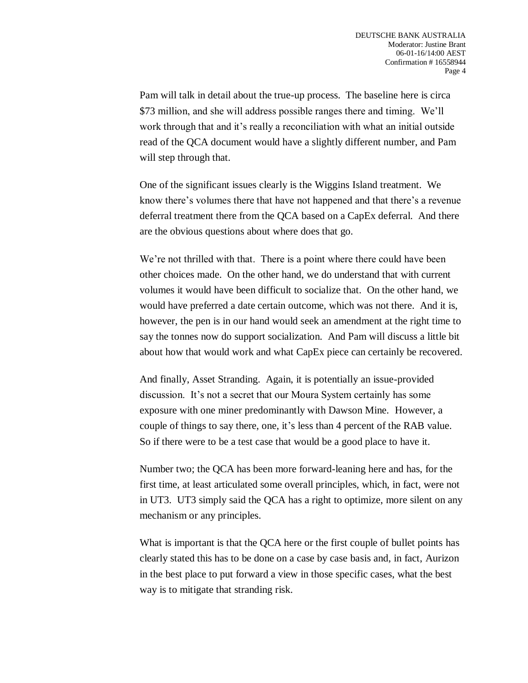Pam will talk in detail about the true-up process. The baseline here is circa \$73 million, and she will address possible ranges there and timing. We'll work through that and it's really a reconciliation with what an initial outside read of the QCA document would have a slightly different number, and Pam will step through that.

One of the significant issues clearly is the Wiggins Island treatment. We know there's volumes there that have not happened and that there's a revenue deferral treatment there from the QCA based on a CapEx deferral. And there are the obvious questions about where does that go.

We're not thrilled with that. There is a point where there could have been other choices made. On the other hand, we do understand that with current volumes it would have been difficult to socialize that. On the other hand, we would have preferred a date certain outcome, which was not there. And it is, however, the pen is in our hand would seek an amendment at the right time to say the tonnes now do support socialization. And Pam will discuss a little bit about how that would work and what CapEx piece can certainly be recovered.

And finally, Asset Stranding. Again, it is potentially an issue-provided discussion. It's not a secret that our Moura System certainly has some exposure with one miner predominantly with Dawson Mine. However, a couple of things to say there, one, it's less than 4 percent of the RAB value. So if there were to be a test case that would be a good place to have it.

Number two; the QCA has been more forward-leaning here and has, for the first time, at least articulated some overall principles, which, in fact, were not in UT3. UT3 simply said the QCA has a right to optimize, more silent on any mechanism or any principles.

What is important is that the QCA here or the first couple of bullet points has clearly stated this has to be done on a case by case basis and, in fact, Aurizon in the best place to put forward a view in those specific cases, what the best way is to mitigate that stranding risk.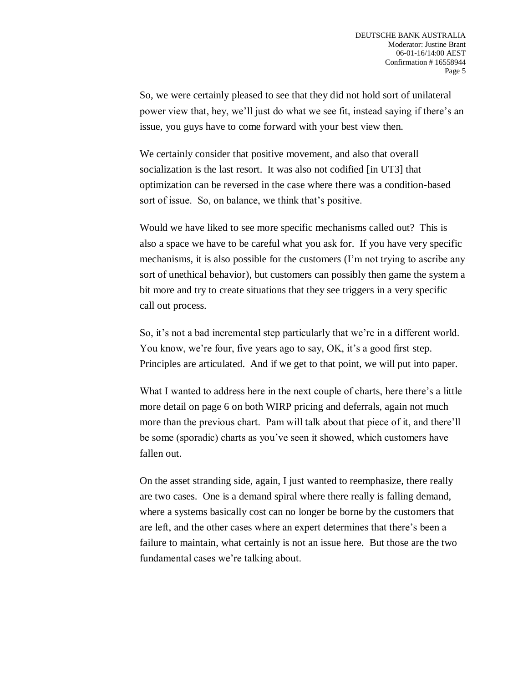So, we were certainly pleased to see that they did not hold sort of unilateral power view that, hey, we'll just do what we see fit, instead saying if there's an issue, you guys have to come forward with your best view then.

We certainly consider that positive movement, and also that overall socialization is the last resort. It was also not codified [in UT3] that optimization can be reversed in the case where there was a condition-based sort of issue. So, on balance, we think that's positive.

Would we have liked to see more specific mechanisms called out? This is also a space we have to be careful what you ask for. If you have very specific mechanisms, it is also possible for the customers (I'm not trying to ascribe any sort of unethical behavior), but customers can possibly then game the system a bit more and try to create situations that they see triggers in a very specific call out process.

So, it's not a bad incremental step particularly that we're in a different world. You know, we're four, five years ago to say, OK, it's a good first step. Principles are articulated. And if we get to that point, we will put into paper.

What I wanted to address here in the next couple of charts, here there's a little more detail on page 6 on both WIRP pricing and deferrals, again not much more than the previous chart. Pam will talk about that piece of it, and there'll be some (sporadic) charts as you've seen it showed, which customers have fallen out.

On the asset stranding side, again, I just wanted to reemphasize, there really are two cases. One is a demand spiral where there really is falling demand, where a systems basically cost can no longer be borne by the customers that are left, and the other cases where an expert determines that there's been a failure to maintain, what certainly is not an issue here. But those are the two fundamental cases we're talking about.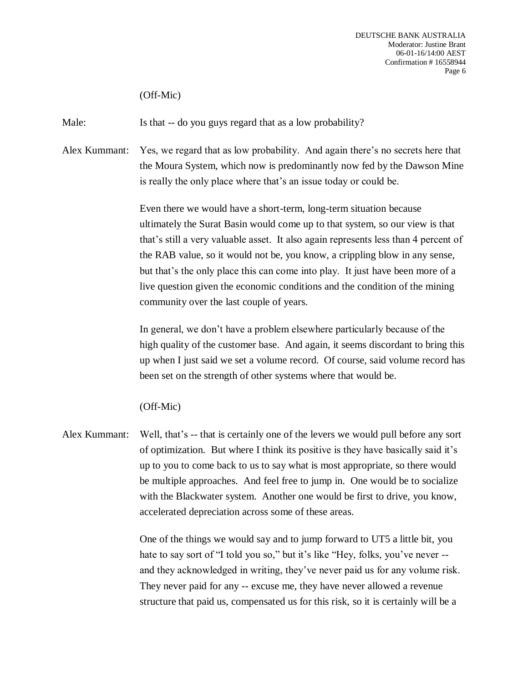(Off-Mic)

Male: Is that -- do you guys regard that as a low probability?

Alex Kummant: Yes, we regard that as low probability. And again there's no secrets here that the Moura System, which now is predominantly now fed by the Dawson Mine is really the only place where that's an issue today or could be.

> Even there we would have a short-term, long-term situation because ultimately the Surat Basin would come up to that system, so our view is that that's still a very valuable asset. It also again represents less than 4 percent of the RAB value, so it would not be, you know, a crippling blow in any sense, but that's the only place this can come into play. It just have been more of a live question given the economic conditions and the condition of the mining community over the last couple of years.

> In general, we don't have a problem elsewhere particularly because of the high quality of the customer base. And again, it seems discordant to bring this up when I just said we set a volume record. Of course, said volume record has been set on the strength of other systems where that would be.

(Off-Mic)

Alex Kummant: Well, that's -- that is certainly one of the levers we would pull before any sort of optimization. But where I think its positive is they have basically said it's up to you to come back to us to say what is most appropriate, so there would be multiple approaches. And feel free to jump in. One would be to socialize with the Blackwater system. Another one would be first to drive, you know, accelerated depreciation across some of these areas.

> One of the things we would say and to jump forward to UT5 a little bit, you hate to say sort of "I told you so," but it's like "Hey, folks, you've never -and they acknowledged in writing, they've never paid us for any volume risk. They never paid for any -- excuse me, they have never allowed a revenue structure that paid us, compensated us for this risk, so it is certainly will be a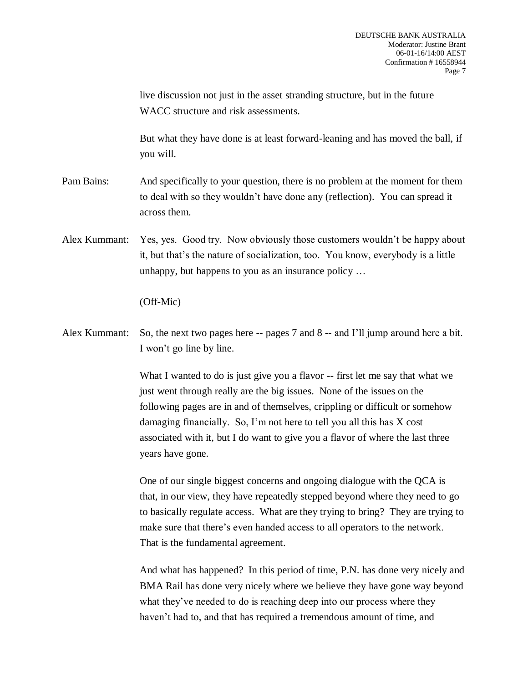live discussion not just in the asset stranding structure, but in the future WACC structure and risk assessments. But what they have done is at least forward-leaning and has moved the ball, if you will. Pam Bains: And specifically to your question, there is no problem at the moment for them to deal with so they wouldn't have done any (reflection). You can spread it across them. Alex Kummant: Yes, yes. Good try. Now obviously those customers wouldn't be happy about it, but that's the nature of socialization, too. You know, everybody is a little unhappy, but happens to you as an insurance policy … (Off-Mic) Alex Kummant: So, the next two pages here -- pages 7 and 8 -- and I'll jump around here a bit. I won't go line by line. What I wanted to do is just give you a flavor -- first let me say that what we just went through really are the big issues. None of the issues on the following pages are in and of themselves, crippling or difficult or somehow damaging financially. So, I'm not here to tell you all this has X cost associated with it, but I do want to give you a flavor of where the last three years have gone. One of our single biggest concerns and ongoing dialogue with the QCA is that, in our view, they have repeatedly stepped beyond where they need to go to basically regulate access. What are they trying to bring? They are trying to make sure that there's even handed access to all operators to the network. That is the fundamental agreement.

> And what has happened? In this period of time, P.N. has done very nicely and BMA Rail has done very nicely where we believe they have gone way beyond what they've needed to do is reaching deep into our process where they haven't had to, and that has required a tremendous amount of time, and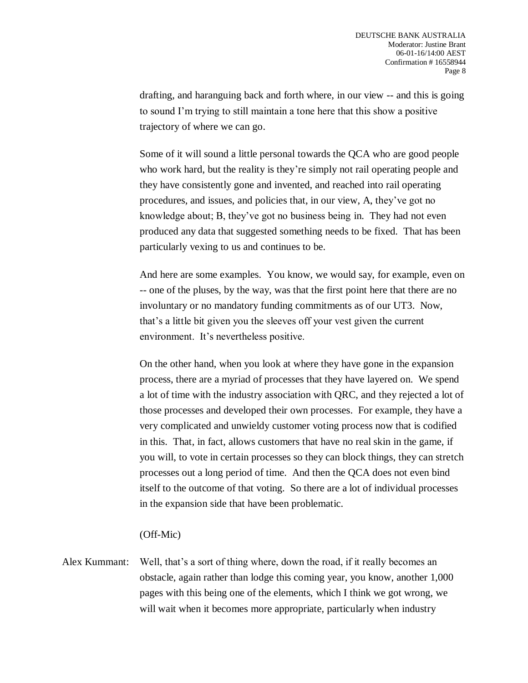drafting, and haranguing back and forth where, in our view -- and this is going to sound I'm trying to still maintain a tone here that this show a positive trajectory of where we can go.

Some of it will sound a little personal towards the QCA who are good people who work hard, but the reality is they're simply not rail operating people and they have consistently gone and invented, and reached into rail operating procedures, and issues, and policies that, in our view, A, they've got no knowledge about; B, they've got no business being in. They had not even produced any data that suggested something needs to be fixed. That has been particularly vexing to us and continues to be.

And here are some examples. You know, we would say, for example, even on -- one of the pluses, by the way, was that the first point here that there are no involuntary or no mandatory funding commitments as of our UT3. Now, that's a little bit given you the sleeves off your vest given the current environment. It's nevertheless positive.

On the other hand, when you look at where they have gone in the expansion process, there are a myriad of processes that they have layered on. We spend a lot of time with the industry association with QRC, and they rejected a lot of those processes and developed their own processes. For example, they have a very complicated and unwieldy customer voting process now that is codified in this. That, in fact, allows customers that have no real skin in the game, if you will, to vote in certain processes so they can block things, they can stretch processes out a long period of time. And then the QCA does not even bind itself to the outcome of that voting. So there are a lot of individual processes in the expansion side that have been problematic.

### (Off-Mic)

Alex Kummant: Well, that's a sort of thing where, down the road, if it really becomes an obstacle, again rather than lodge this coming year, you know, another 1,000 pages with this being one of the elements, which I think we got wrong, we will wait when it becomes more appropriate, particularly when industry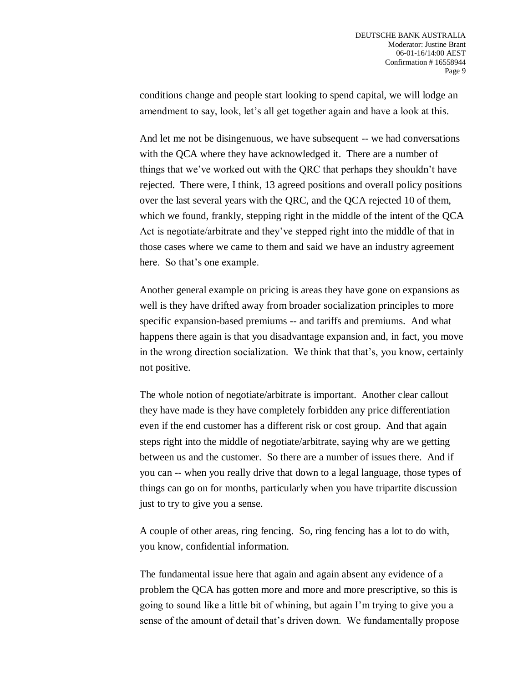conditions change and people start looking to spend capital, we will lodge an amendment to say, look, let's all get together again and have a look at this.

And let me not be disingenuous, we have subsequent -- we had conversations with the QCA where they have acknowledged it. There are a number of things that we've worked out with the QRC that perhaps they shouldn't have rejected. There were, I think, 13 agreed positions and overall policy positions over the last several years with the QRC, and the QCA rejected 10 of them, which we found, frankly, stepping right in the middle of the intent of the QCA Act is negotiate/arbitrate and they've stepped right into the middle of that in those cases where we came to them and said we have an industry agreement here. So that's one example.

Another general example on pricing is areas they have gone on expansions as well is they have drifted away from broader socialization principles to more specific expansion-based premiums -- and tariffs and premiums. And what happens there again is that you disadvantage expansion and, in fact, you move in the wrong direction socialization. We think that that's, you know, certainly not positive.

The whole notion of negotiate/arbitrate is important. Another clear callout they have made is they have completely forbidden any price differentiation even if the end customer has a different risk or cost group. And that again steps right into the middle of negotiate/arbitrate, saying why are we getting between us and the customer. So there are a number of issues there. And if you can -- when you really drive that down to a legal language, those types of things can go on for months, particularly when you have tripartite discussion just to try to give you a sense.

A couple of other areas, ring fencing. So, ring fencing has a lot to do with, you know, confidential information.

The fundamental issue here that again and again absent any evidence of a problem the QCA has gotten more and more and more prescriptive, so this is going to sound like a little bit of whining, but again I'm trying to give you a sense of the amount of detail that's driven down. We fundamentally propose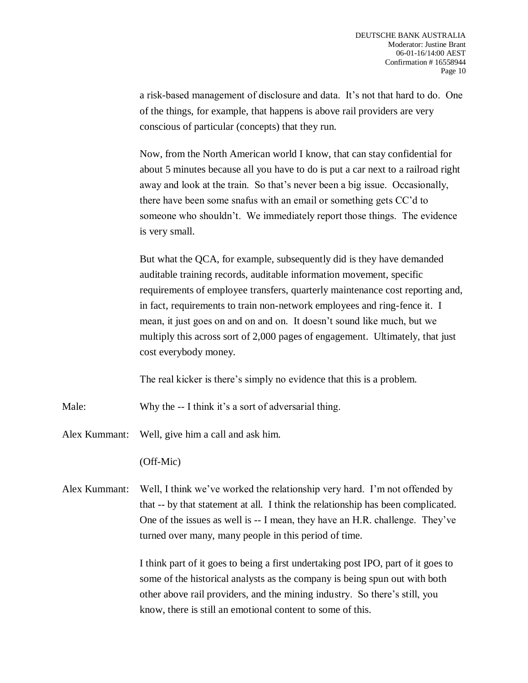a risk-based management of disclosure and data. It's not that hard to do. One of the things, for example, that happens is above rail providers are very conscious of particular (concepts) that they run.

Now, from the North American world I know, that can stay confidential for about 5 minutes because all you have to do is put a car next to a railroad right away and look at the train. So that's never been a big issue. Occasionally, there have been some snafus with an email or something gets CC'd to someone who shouldn't. We immediately report those things. The evidence is very small.

But what the QCA, for example, subsequently did is they have demanded auditable training records, auditable information movement, specific requirements of employee transfers, quarterly maintenance cost reporting and, in fact, requirements to train non-network employees and ring-fence it. I mean, it just goes on and on and on. It doesn't sound like much, but we multiply this across sort of 2,000 pages of engagement. Ultimately, that just cost everybody money.

The real kicker is there's simply no evidence that this is a problem.

Male: Why the -- I think it's a sort of adversarial thing.

Alex Kummant: Well, give him a call and ask him.

(Off-Mic)

Alex Kummant: Well, I think we've worked the relationship very hard. I'm not offended by that -- by that statement at all. I think the relationship has been complicated. One of the issues as well is -- I mean, they have an H.R. challenge. They've turned over many, many people in this period of time.

> I think part of it goes to being a first undertaking post IPO, part of it goes to some of the historical analysts as the company is being spun out with both other above rail providers, and the mining industry. So there's still, you know, there is still an emotional content to some of this.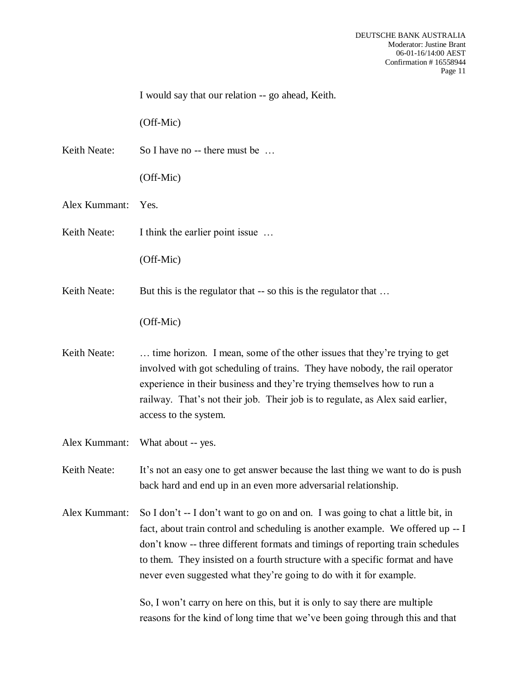I would say that our relation -- go ahead, Keith. (Off-Mic) Keith Neate: So I have no -- there must be ... (Off-Mic) Alex Kummant: Yes. Keith Neate: I think the earlier point issue ... (Off-Mic) Keith Neate: But this is the regulator that -- so this is the regulator that ... (Off-Mic) Keith Neate: ... time horizon. I mean, some of the other issues that they're trying to get involved with got scheduling of trains. They have nobody, the rail operator experience in their business and they're trying themselves how to run a railway. That's not their job. Their job is to regulate, as Alex said earlier, access to the system. Alex Kummant: What about -- yes. Keith Neate: It's not an easy one to get answer because the last thing we want to do is push back hard and end up in an even more adversarial relationship. Alex Kummant: So I don't -- I don't want to go on and on. I was going to chat a little bit, in fact, about train control and scheduling is another example. We offered up -- I don't know -- three different formats and timings of reporting train schedules to them. They insisted on a fourth structure with a specific format and have never even suggested what they're going to do with it for example. So, I won't carry on here on this, but it is only to say there are multiple reasons for the kind of long time that we've been going through this and that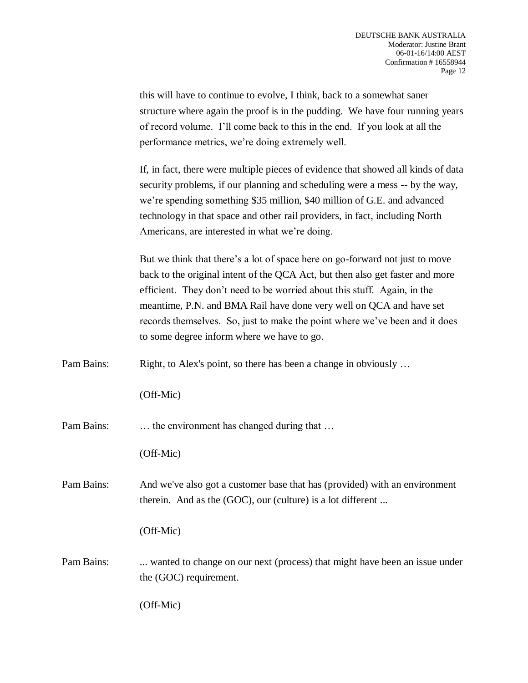| this will have to continue to evolve, I think, back to a somewhat saner       |  |  |
|-------------------------------------------------------------------------------|--|--|
| structure where again the proof is in the pudding. We have four running years |  |  |
| of record volume. I'll come back to this in the end. If you look at all the   |  |  |
| performance metrics, we're doing extremely well.                              |  |  |

If, in fact, there were multiple pieces of evidence that showed all kinds of data security problems, if our planning and scheduling were a mess -- by the way, we're spending something \$35 million, \$40 million of G.E. and advanced technology in that space and other rail providers, in fact, including North Americans, are interested in what we're doing.

But we think that there's a lot of space here on go-forward not just to move back to the original intent of the QCA Act, but then also get faster and more efficient. They don't need to be worried about this stuff. Again, in the meantime, P.N. and BMA Rail have done very well on QCA and have set records themselves. So, just to make the point where we've been and it does to some degree inform where we have to go.

Pam Bains: Right, to Alex's point, so there has been a change in obviously ...

(Off-Mic)

Pam Bains: ... the environment has changed during that ...

(Off-Mic)

Pam Bains: And we've also got a customer base that has (provided) with an environment therein. And as the (GOC), our (culture) is a lot different ...

(Off-Mic)

Pam Bains: ... wanted to change on our next (process) that might have been an issue under the (GOC) requirement.

(Off-Mic)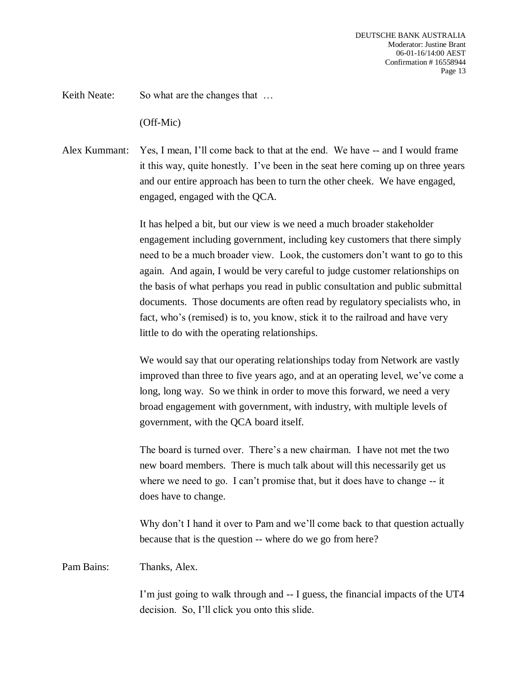Keith Neate: So what are the changes that ...

(Off-Mic)

Alex Kummant: Yes, I mean, I'll come back to that at the end. We have -- and I would frame it this way, quite honestly. I've been in the seat here coming up on three years and our entire approach has been to turn the other cheek. We have engaged, engaged, engaged with the QCA.

> It has helped a bit, but our view is we need a much broader stakeholder engagement including government, including key customers that there simply need to be a much broader view. Look, the customers don't want to go to this again. And again, I would be very careful to judge customer relationships on the basis of what perhaps you read in public consultation and public submittal documents. Those documents are often read by regulatory specialists who, in fact, who's (remised) is to, you know, stick it to the railroad and have very little to do with the operating relationships.

> We would say that our operating relationships today from Network are vastly improved than three to five years ago, and at an operating level, we've come a long, long way. So we think in order to move this forward, we need a very broad engagement with government, with industry, with multiple levels of government, with the QCA board itself.

The board is turned over. There's a new chairman. I have not met the two new board members. There is much talk about will this necessarily get us where we need to go. I can't promise that, but it does have to change -- it does have to change.

Why don't I hand it over to Pam and we'll come back to that question actually because that is the question -- where do we go from here?

Pam Bains: Thanks, Alex.

I'm just going to walk through and -- I guess, the financial impacts of the UT4 decision. So, I'll click you onto this slide.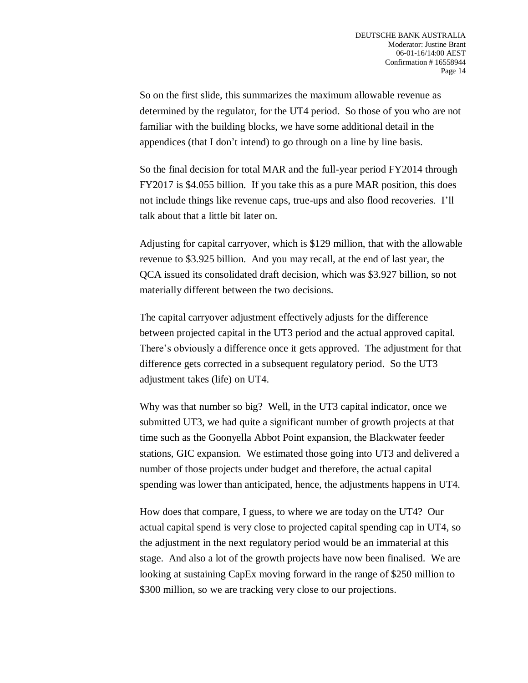So on the first slide, this summarizes the maximum allowable revenue as determined by the regulator, for the UT4 period. So those of you who are not familiar with the building blocks, we have some additional detail in the appendices (that I don't intend) to go through on a line by line basis.

So the final decision for total MAR and the full-year period FY2014 through FY2017 is \$4.055 billion. If you take this as a pure MAR position, this does not include things like revenue caps, true-ups and also flood recoveries. I'll talk about that a little bit later on.

Adjusting for capital carryover, which is \$129 million, that with the allowable revenue to \$3.925 billion. And you may recall, at the end of last year, the QCA issued its consolidated draft decision, which was \$3.927 billion, so not materially different between the two decisions.

The capital carryover adjustment effectively adjusts for the difference between projected capital in the UT3 period and the actual approved capital. There's obviously a difference once it gets approved. The adjustment for that difference gets corrected in a subsequent regulatory period. So the UT3 adjustment takes (life) on UT4.

Why was that number so big? Well, in the UT3 capital indicator, once we submitted UT3, we had quite a significant number of growth projects at that time such as the Goonyella Abbot Point expansion, the Blackwater feeder stations, GIC expansion. We estimated those going into UT3 and delivered a number of those projects under budget and therefore, the actual capital spending was lower than anticipated, hence, the adjustments happens in UT4.

How does that compare, I guess, to where we are today on the UT4? Our actual capital spend is very close to projected capital spending cap in UT4, so the adjustment in the next regulatory period would be an immaterial at this stage. And also a lot of the growth projects have now been finalised. We are looking at sustaining CapEx moving forward in the range of \$250 million to \$300 million, so we are tracking very close to our projections.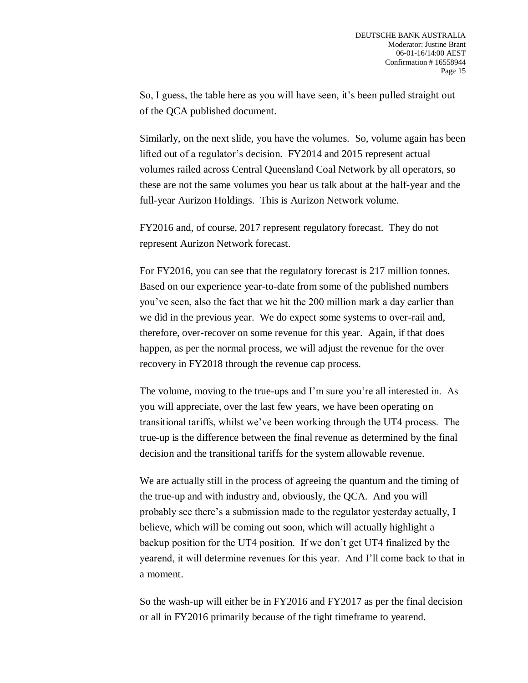So, I guess, the table here as you will have seen, it's been pulled straight out of the QCA published document.

Similarly, on the next slide, you have the volumes. So, volume again has been lifted out of a regulator's decision. FY2014 and 2015 represent actual volumes railed across Central Queensland Coal Network by all operators, so these are not the same volumes you hear us talk about at the half-year and the full-year Aurizon Holdings. This is Aurizon Network volume.

FY2016 and, of course, 2017 represent regulatory forecast. They do not represent Aurizon Network forecast.

For FY2016, you can see that the regulatory forecast is 217 million tonnes. Based on our experience year-to-date from some of the published numbers you've seen, also the fact that we hit the 200 million mark a day earlier than we did in the previous year. We do expect some systems to over-rail and, therefore, over-recover on some revenue for this year. Again, if that does happen, as per the normal process, we will adjust the revenue for the over recovery in FY2018 through the revenue cap process.

The volume, moving to the true-ups and I'm sure you're all interested in. As you will appreciate, over the last few years, we have been operating on transitional tariffs, whilst we've been working through the UT4 process. The true-up is the difference between the final revenue as determined by the final decision and the transitional tariffs for the system allowable revenue.

We are actually still in the process of agreeing the quantum and the timing of the true-up and with industry and, obviously, the QCA. And you will probably see there's a submission made to the regulator yesterday actually, I believe, which will be coming out soon, which will actually highlight a backup position for the UT4 position. If we don't get UT4 finalized by the yearend, it will determine revenues for this year. And I'll come back to that in a moment.

So the wash-up will either be in FY2016 and FY2017 as per the final decision or all in FY2016 primarily because of the tight timeframe to yearend.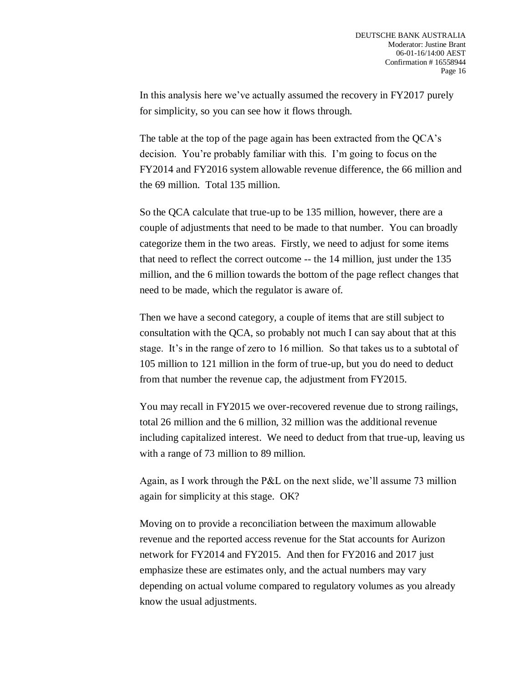In this analysis here we've actually assumed the recovery in FY2017 purely for simplicity, so you can see how it flows through.

The table at the top of the page again has been extracted from the QCA's decision. You're probably familiar with this. I'm going to focus on the FY2014 and FY2016 system allowable revenue difference, the 66 million and the 69 million. Total 135 million.

So the QCA calculate that true-up to be 135 million, however, there are a couple of adjustments that need to be made to that number. You can broadly categorize them in the two areas. Firstly, we need to adjust for some items that need to reflect the correct outcome -- the 14 million, just under the 135 million, and the 6 million towards the bottom of the page reflect changes that need to be made, which the regulator is aware of.

Then we have a second category, a couple of items that are still subject to consultation with the QCA, so probably not much I can say about that at this stage. It's in the range of zero to 16 million. So that takes us to a subtotal of 105 million to 121 million in the form of true-up, but you do need to deduct from that number the revenue cap, the adjustment from FY2015.

You may recall in FY2015 we over-recovered revenue due to strong railings, total 26 million and the 6 million, 32 million was the additional revenue including capitalized interest. We need to deduct from that true-up, leaving us with a range of 73 million to 89 million.

Again, as I work through the P&L on the next slide, we'll assume 73 million again for simplicity at this stage. OK?

Moving on to provide a reconciliation between the maximum allowable revenue and the reported access revenue for the Stat accounts for Aurizon network for FY2014 and FY2015. And then for FY2016 and 2017 just emphasize these are estimates only, and the actual numbers may vary depending on actual volume compared to regulatory volumes as you already know the usual adjustments.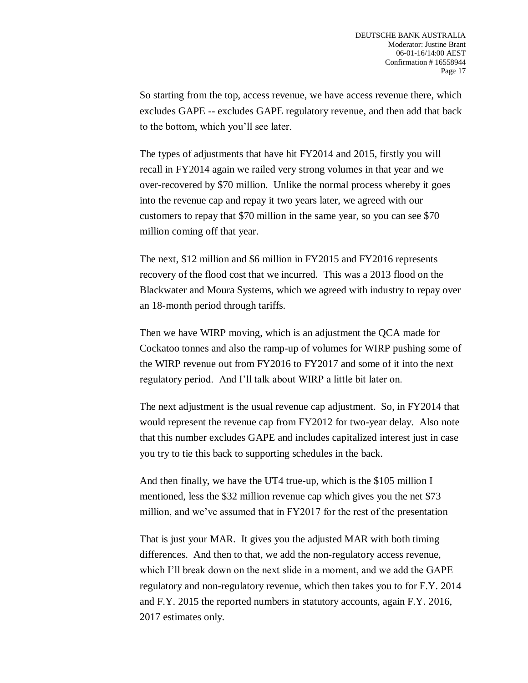So starting from the top, access revenue, we have access revenue there, which excludes GAPE -- excludes GAPE regulatory revenue, and then add that back to the bottom, which you'll see later.

The types of adjustments that have hit FY2014 and 2015, firstly you will recall in FY2014 again we railed very strong volumes in that year and we over-recovered by \$70 million. Unlike the normal process whereby it goes into the revenue cap and repay it two years later, we agreed with our customers to repay that \$70 million in the same year, so you can see \$70 million coming off that year.

The next, \$12 million and \$6 million in FY2015 and FY2016 represents recovery of the flood cost that we incurred. This was a 2013 flood on the Blackwater and Moura Systems, which we agreed with industry to repay over an 18-month period through tariffs.

Then we have WIRP moving, which is an adjustment the QCA made for Cockatoo tonnes and also the ramp-up of volumes for WIRP pushing some of the WIRP revenue out from FY2016 to FY2017 and some of it into the next regulatory period. And I'll talk about WIRP a little bit later on.

The next adjustment is the usual revenue cap adjustment. So, in FY2014 that would represent the revenue cap from FY2012 for two-year delay. Also note that this number excludes GAPE and includes capitalized interest just in case you try to tie this back to supporting schedules in the back.

And then finally, we have the UT4 true-up, which is the \$105 million I mentioned, less the \$32 million revenue cap which gives you the net \$73 million, and we've assumed that in FY2017 for the rest of the presentation

That is just your MAR. It gives you the adjusted MAR with both timing differences. And then to that, we add the non-regulatory access revenue, which I'll break down on the next slide in a moment, and we add the GAPE regulatory and non-regulatory revenue, which then takes you to for F.Y. 2014 and F.Y. 2015 the reported numbers in statutory accounts, again F.Y. 2016, 2017 estimates only.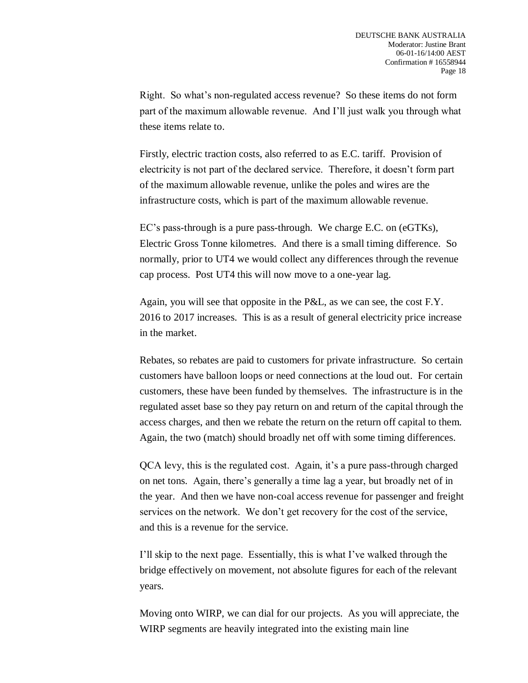Right. So what's non-regulated access revenue? So these items do not form part of the maximum allowable revenue. And I'll just walk you through what these items relate to.

Firstly, electric traction costs, also referred to as E.C. tariff. Provision of electricity is not part of the declared service. Therefore, it doesn't form part of the maximum allowable revenue, unlike the poles and wires are the infrastructure costs, which is part of the maximum allowable revenue.

EC's pass-through is a pure pass-through. We charge E.C. on (eGTKs), Electric Gross Tonne kilometres. And there is a small timing difference. So normally, prior to UT4 we would collect any differences through the revenue cap process. Post UT4 this will now move to a one-year lag.

Again, you will see that opposite in the P&L, as we can see, the cost F.Y. 2016 to 2017 increases. This is as a result of general electricity price increase in the market.

Rebates, so rebates are paid to customers for private infrastructure. So certain customers have balloon loops or need connections at the loud out. For certain customers, these have been funded by themselves. The infrastructure is in the regulated asset base so they pay return on and return of the capital through the access charges, and then we rebate the return on the return off capital to them. Again, the two (match) should broadly net off with some timing differences.

QCA levy, this is the regulated cost. Again, it's a pure pass-through charged on net tons. Again, there's generally a time lag a year, but broadly net of in the year. And then we have non-coal access revenue for passenger and freight services on the network. We don't get recovery for the cost of the service, and this is a revenue for the service.

I'll skip to the next page. Essentially, this is what I've walked through the bridge effectively on movement, not absolute figures for each of the relevant years.

Moving onto WIRP, we can dial for our projects. As you will appreciate, the WIRP segments are heavily integrated into the existing main line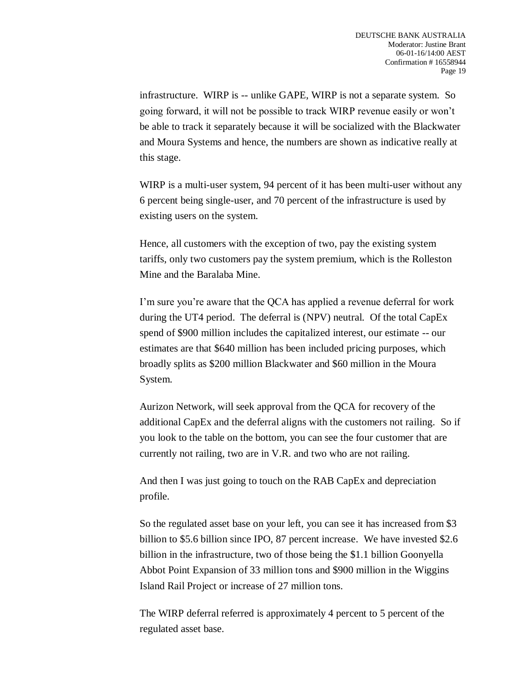infrastructure. WIRP is -- unlike GAPE, WIRP is not a separate system. So going forward, it will not be possible to track WIRP revenue easily or won't be able to track it separately because it will be socialized with the Blackwater and Moura Systems and hence, the numbers are shown as indicative really at this stage.

WIRP is a multi-user system, 94 percent of it has been multi-user without any 6 percent being single-user, and 70 percent of the infrastructure is used by existing users on the system.

Hence, all customers with the exception of two, pay the existing system tariffs, only two customers pay the system premium, which is the Rolleston Mine and the Baralaba Mine.

I'm sure you're aware that the QCA has applied a revenue deferral for work during the UT4 period. The deferral is (NPV) neutral. Of the total CapEx spend of \$900 million includes the capitalized interest, our estimate -- our estimates are that \$640 million has been included pricing purposes, which broadly splits as \$200 million Blackwater and \$60 million in the Moura System.

Aurizon Network, will seek approval from the QCA for recovery of the additional CapEx and the deferral aligns with the customers not railing. So if you look to the table on the bottom, you can see the four customer that are currently not railing, two are in V.R. and two who are not railing.

And then I was just going to touch on the RAB CapEx and depreciation profile.

So the regulated asset base on your left, you can see it has increased from \$3 billion to \$5.6 billion since IPO, 87 percent increase. We have invested \$2.6 billion in the infrastructure, two of those being the \$1.1 billion Goonyella Abbot Point Expansion of 33 million tons and \$900 million in the Wiggins Island Rail Project or increase of 27 million tons.

The WIRP deferral referred is approximately 4 percent to 5 percent of the regulated asset base.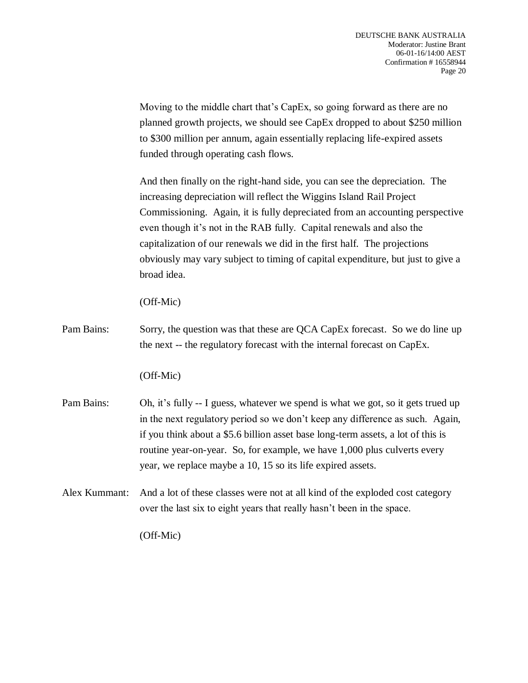Moving to the middle chart that's CapEx, so going forward as there are no planned growth projects, we should see CapEx dropped to about \$250 million to \$300 million per annum, again essentially replacing life-expired assets funded through operating cash flows.

And then finally on the right-hand side, you can see the depreciation. The increasing depreciation will reflect the Wiggins Island Rail Project Commissioning. Again, it is fully depreciated from an accounting perspective even though it's not in the RAB fully. Capital renewals and also the capitalization of our renewals we did in the first half. The projections obviously may vary subject to timing of capital expenditure, but just to give a broad idea.

(Off-Mic)

Pam Bains: Sorry, the question was that these are QCA CapEx forecast. So we do line up the next -- the regulatory forecast with the internal forecast on CapEx.

(Off-Mic)

- Pam Bains: Oh, it's fully -- I guess, whatever we spend is what we got, so it gets trued up in the next regulatory period so we don't keep any difference as such. Again, if you think about a \$5.6 billion asset base long-term assets, a lot of this is routine year-on-year. So, for example, we have 1,000 plus culverts every year, we replace maybe a 10, 15 so its life expired assets.
- Alex Kummant: And a lot of these classes were not at all kind of the exploded cost category over the last six to eight years that really hasn't been in the space.

(Off-Mic)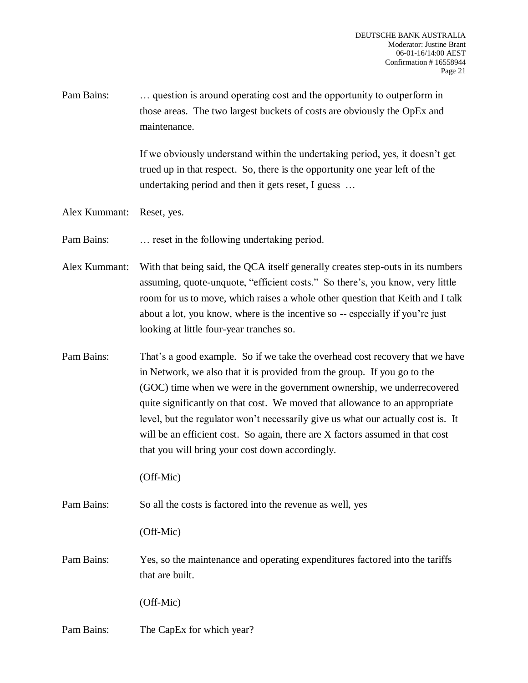Pam Bains: … question is around operating cost and the opportunity to outperform in those areas. The two largest buckets of costs are obviously the OpEx and maintenance.

> If we obviously understand within the undertaking period, yes, it doesn't get trued up in that respect. So, there is the opportunity one year left of the undertaking period and then it gets reset, I guess …

Alex Kummant: Reset, yes.

Pam Bains: … reset in the following undertaking period.

Alex Kummant: With that being said, the QCA itself generally creates step-outs in its numbers assuming, quote-unquote, "efficient costs." So there's, you know, very little room for us to move, which raises a whole other question that Keith and I talk about a lot, you know, where is the incentive so -- especially if you're just looking at little four-year tranches so.

Pam Bains: That's a good example. So if we take the overhead cost recovery that we have in Network, we also that it is provided from the group. If you go to the (GOC) time when we were in the government ownership, we underrecovered quite significantly on that cost. We moved that allowance to an appropriate level, but the regulator won't necessarily give us what our actually cost is. It will be an efficient cost. So again, there are X factors assumed in that cost that you will bring your cost down accordingly.

(Off-Mic)

Pam Bains: So all the costs is factored into the revenue as well, yes

(Off-Mic)

Pam Bains: Yes, so the maintenance and operating expenditures factored into the tariffs that are built.

(Off-Mic)

Pam Bains: The CapEx for which year?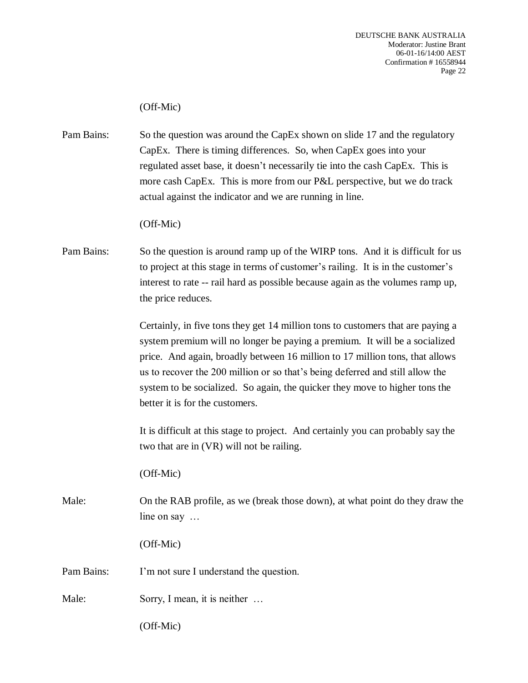# (Off-Mic)

Pam Bains: So the question was around the CapEx shown on slide 17 and the regulatory CapEx. There is timing differences. So, when CapEx goes into your regulated asset base, it doesn't necessarily tie into the cash CapEx. This is more cash CapEx. This is more from our P&L perspective, but we do track actual against the indicator and we are running in line.

#### (Off-Mic)

Pam Bains: So the question is around ramp up of the WIRP tons. And it is difficult for us to project at this stage in terms of customer's railing. It is in the customer's interest to rate -- rail hard as possible because again as the volumes ramp up, the price reduces.

> Certainly, in five tons they get 14 million tons to customers that are paying a system premium will no longer be paying a premium. It will be a socialized price. And again, broadly between 16 million to 17 million tons, that allows us to recover the 200 million or so that's being deferred and still allow the system to be socialized. So again, the quicker they move to higher tons the better it is for the customers.

> It is difficult at this stage to project. And certainly you can probably say the two that are in (VR) will not be railing.

(Off-Mic)

Male: On the RAB profile, as we (break those down), at what point do they draw the line on say …

(Off-Mic)

Pam Bains: I'm not sure I understand the question.

Male: Sorry, I mean, it is neither ...

(Off-Mic)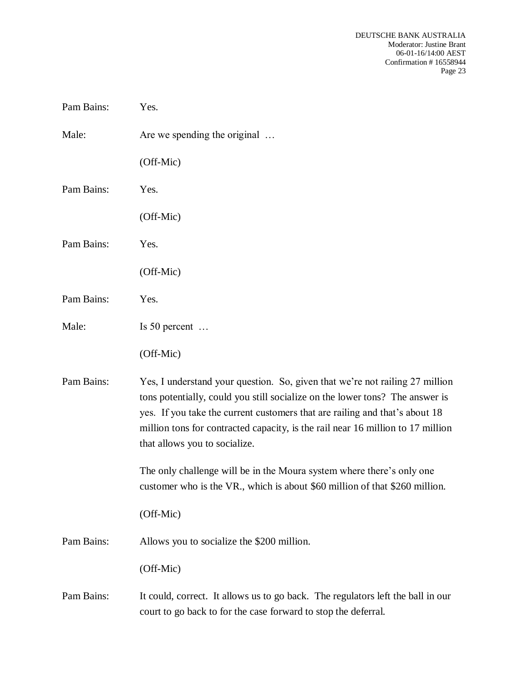| Pam Bains: | Yes.                                                                                                                                                                                                                                                                                                                                                            |
|------------|-----------------------------------------------------------------------------------------------------------------------------------------------------------------------------------------------------------------------------------------------------------------------------------------------------------------------------------------------------------------|
| Male:      | Are we spending the original                                                                                                                                                                                                                                                                                                                                    |
|            | (Off-Mic)                                                                                                                                                                                                                                                                                                                                                       |
| Pam Bains: | Yes.                                                                                                                                                                                                                                                                                                                                                            |
|            | (Off-Mic)                                                                                                                                                                                                                                                                                                                                                       |
| Pam Bains: | Yes.                                                                                                                                                                                                                                                                                                                                                            |
|            | (Off-Mic)                                                                                                                                                                                                                                                                                                                                                       |
| Pam Bains: | Yes.                                                                                                                                                                                                                                                                                                                                                            |
| Male:      | Is 50 percent $\dots$                                                                                                                                                                                                                                                                                                                                           |
|            | (Off-Mic)                                                                                                                                                                                                                                                                                                                                                       |
| Pam Bains: | Yes, I understand your question. So, given that we're not railing 27 million<br>tons potentially, could you still socialize on the lower tons? The answer is<br>yes. If you take the current customers that are railing and that's about 18<br>million tons for contracted capacity, is the rail near 16 million to 17 million<br>that allows you to socialize. |
|            | The only challenge will be in the Moura system where there's only one<br>customer who is the VR., which is about \$60 million of that \$260 million.                                                                                                                                                                                                            |
|            | (Off-Mic)                                                                                                                                                                                                                                                                                                                                                       |
| Pam Bains: | Allows you to socialize the \$200 million.                                                                                                                                                                                                                                                                                                                      |
|            | (Off-Mic)                                                                                                                                                                                                                                                                                                                                                       |
| Pam Bains: | It could, correct. It allows us to go back. The regulators left the ball in our<br>court to go back to for the case forward to stop the deferral.                                                                                                                                                                                                               |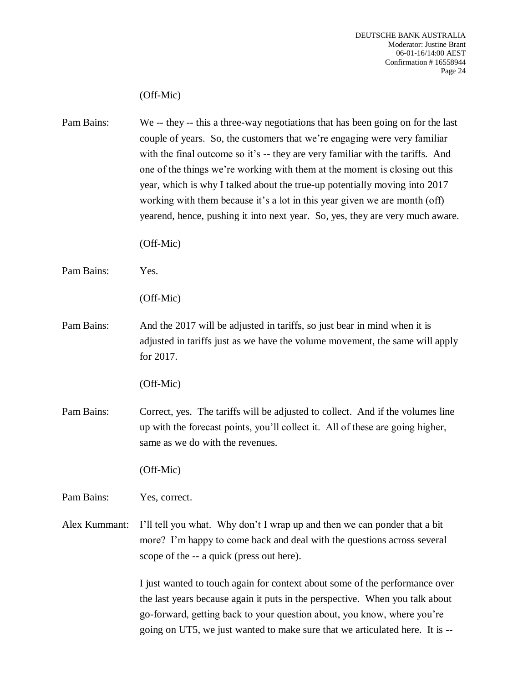## (Off-Mic)

Pam Bains: We -- they -- this a three-way negotiations that has been going on for the last couple of years. So, the customers that we're engaging were very familiar with the final outcome so it's -- they are very familiar with the tariffs. And one of the things we're working with them at the moment is closing out this year, which is why I talked about the true-up potentially moving into 2017 working with them because it's a lot in this year given we are month (off) yearend, hence, pushing it into next year. So, yes, they are very much aware. (Off-Mic) Pam Bains: Yes. (Off-Mic) Pam Bains: And the 2017 will be adjusted in tariffs, so just bear in mind when it is adjusted in tariffs just as we have the volume movement, the same will apply for 2017. (Off-Mic) Pam Bains: Correct, yes. The tariffs will be adjusted to collect. And if the volumes line up with the forecast points, you'll collect it. All of these are going higher, same as we do with the revenues. (Off-Mic) Pam Bains: Yes, correct. Alex Kummant: I'll tell you what. Why don't I wrap up and then we can ponder that a bit more? I'm happy to come back and deal with the questions across several scope of the -- a quick (press out here). I just wanted to touch again for context about some of the performance over the last years because again it puts in the perspective. When you talk about go-forward, getting back to your question about, you know, where you're

going on UT5, we just wanted to make sure that we articulated here. It is --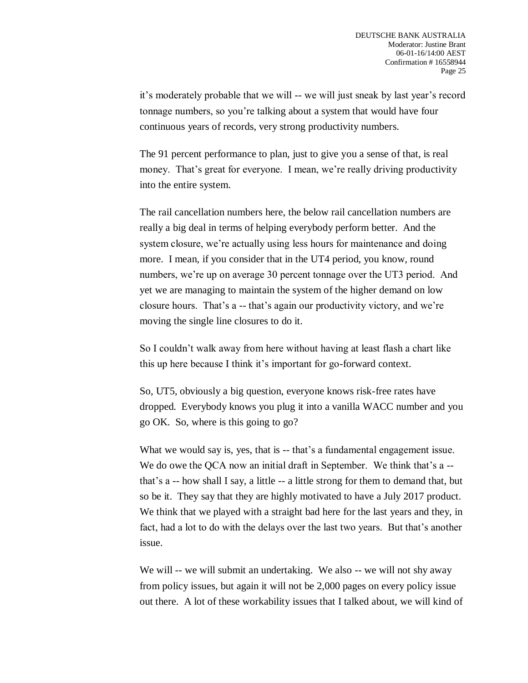it's moderately probable that we will -- we will just sneak by last year's record tonnage numbers, so you're talking about a system that would have four continuous years of records, very strong productivity numbers.

The 91 percent performance to plan, just to give you a sense of that, is real money. That's great for everyone. I mean, we're really driving productivity into the entire system.

The rail cancellation numbers here, the below rail cancellation numbers are really a big deal in terms of helping everybody perform better. And the system closure, we're actually using less hours for maintenance and doing more. I mean, if you consider that in the UT4 period, you know, round numbers, we're up on average 30 percent tonnage over the UT3 period. And yet we are managing to maintain the system of the higher demand on low closure hours. That's a -- that's again our productivity victory, and we're moving the single line closures to do it.

So I couldn't walk away from here without having at least flash a chart like this up here because I think it's important for go-forward context.

So, UT5, obviously a big question, everyone knows risk-free rates have dropped. Everybody knows you plug it into a vanilla WACC number and you go OK. So, where is this going to go?

What we would say is, yes, that is -- that's a fundamental engagement issue. We do owe the QCA now an initial draft in September. We think that's a -that's a -- how shall I say, a little -- a little strong for them to demand that, but so be it. They say that they are highly motivated to have a July 2017 product. We think that we played with a straight bad here for the last years and they, in fact, had a lot to do with the delays over the last two years. But that's another issue.

We will -- we will submit an undertaking. We also -- we will not shy away from policy issues, but again it will not be 2,000 pages on every policy issue out there. A lot of these workability issues that I talked about, we will kind of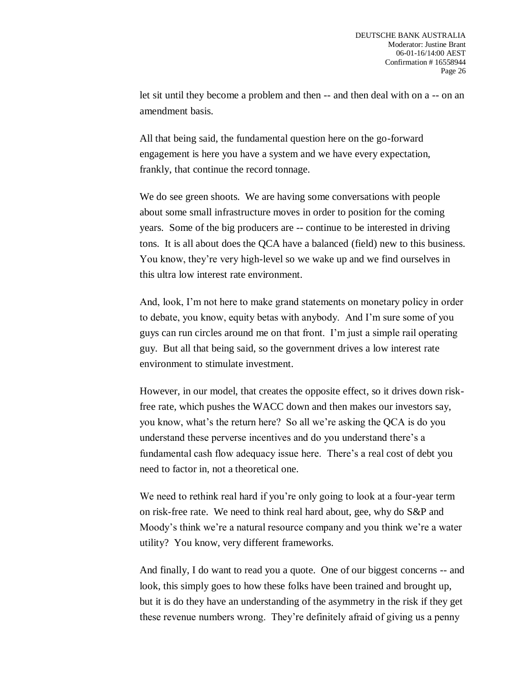let sit until they become a problem and then -- and then deal with on a -- on an amendment basis.

All that being said, the fundamental question here on the go-forward engagement is here you have a system and we have every expectation, frankly, that continue the record tonnage.

We do see green shoots. We are having some conversations with people about some small infrastructure moves in order to position for the coming years. Some of the big producers are -- continue to be interested in driving tons. It is all about does the QCA have a balanced (field) new to this business. You know, they're very high-level so we wake up and we find ourselves in this ultra low interest rate environment.

And, look, I'm not here to make grand statements on monetary policy in order to debate, you know, equity betas with anybody. And I'm sure some of you guys can run circles around me on that front. I'm just a simple rail operating guy. But all that being said, so the government drives a low interest rate environment to stimulate investment.

However, in our model, that creates the opposite effect, so it drives down riskfree rate, which pushes the WACC down and then makes our investors say, you know, what's the return here? So all we're asking the QCA is do you understand these perverse incentives and do you understand there's a fundamental cash flow adequacy issue here. There's a real cost of debt you need to factor in, not a theoretical one.

We need to rethink real hard if you're only going to look at a four-year term on risk-free rate. We need to think real hard about, gee, why do S&P and Moody's think we're a natural resource company and you think we're a water utility? You know, very different frameworks.

And finally, I do want to read you a quote. One of our biggest concerns -- and look, this simply goes to how these folks have been trained and brought up, but it is do they have an understanding of the asymmetry in the risk if they get these revenue numbers wrong. They're definitely afraid of giving us a penny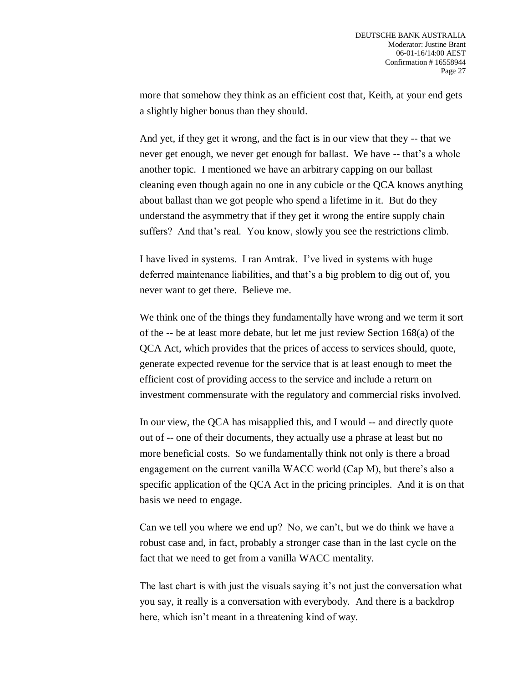more that somehow they think as an efficient cost that, Keith, at your end gets a slightly higher bonus than they should.

And yet, if they get it wrong, and the fact is in our view that they -- that we never get enough, we never get enough for ballast. We have -- that's a whole another topic. I mentioned we have an arbitrary capping on our ballast cleaning even though again no one in any cubicle or the QCA knows anything about ballast than we got people who spend a lifetime in it. But do they understand the asymmetry that if they get it wrong the entire supply chain suffers? And that's real. You know, slowly you see the restrictions climb.

I have lived in systems. I ran Amtrak. I've lived in systems with huge deferred maintenance liabilities, and that's a big problem to dig out of, you never want to get there. Believe me.

We think one of the things they fundamentally have wrong and we term it sort of the -- be at least more debate, but let me just review Section 168(a) of the QCA Act, which provides that the prices of access to services should, quote, generate expected revenue for the service that is at least enough to meet the efficient cost of providing access to the service and include a return on investment commensurate with the regulatory and commercial risks involved.

In our view, the QCA has misapplied this, and I would -- and directly quote out of -- one of their documents, they actually use a phrase at least but no more beneficial costs. So we fundamentally think not only is there a broad engagement on the current vanilla WACC world (Cap M), but there's also a specific application of the QCA Act in the pricing principles. And it is on that basis we need to engage.

Can we tell you where we end up? No, we can't, but we do think we have a robust case and, in fact, probably a stronger case than in the last cycle on the fact that we need to get from a vanilla WACC mentality.

The last chart is with just the visuals saying it's not just the conversation what you say, it really is a conversation with everybody. And there is a backdrop here, which isn't meant in a threatening kind of way.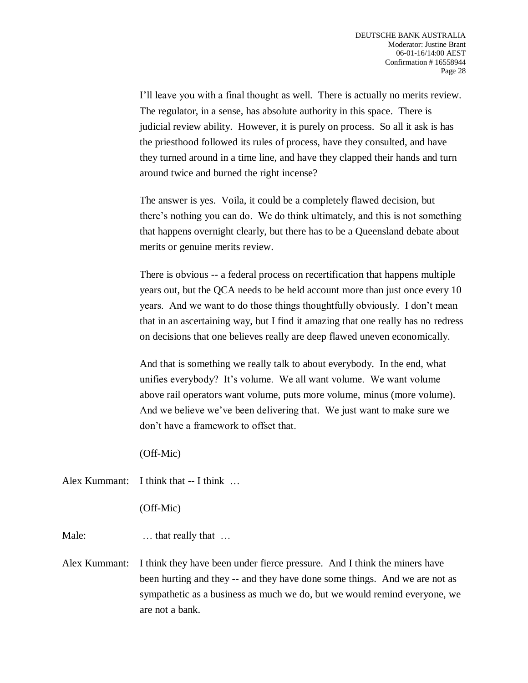I'll leave you with a final thought as well. There is actually no merits review. The regulator, in a sense, has absolute authority in this space. There is judicial review ability. However, it is purely on process. So all it ask is has the priesthood followed its rules of process, have they consulted, and have they turned around in a time line, and have they clapped their hands and turn around twice and burned the right incense?

The answer is yes. Voila, it could be a completely flawed decision, but there's nothing you can do. We do think ultimately, and this is not something that happens overnight clearly, but there has to be a Queensland debate about merits or genuine merits review.

There is obvious -- a federal process on recertification that happens multiple years out, but the QCA needs to be held account more than just once every 10 years. And we want to do those things thoughtfully obviously. I don't mean that in an ascertaining way, but I find it amazing that one really has no redress on decisions that one believes really are deep flawed uneven economically.

And that is something we really talk to about everybody. In the end, what unifies everybody? It's volume. We all want volume. We want volume above rail operators want volume, puts more volume, minus (more volume). And we believe we've been delivering that. We just want to make sure we don't have a framework to offset that.

(Off-Mic)

Alex Kummant: I think that -- I think ...

(Off-Mic)

Male: ... that really that ...

Alex Kummant: I think they have been under fierce pressure. And I think the miners have been hurting and they -- and they have done some things. And we are not as sympathetic as a business as much we do, but we would remind everyone, we are not a bank.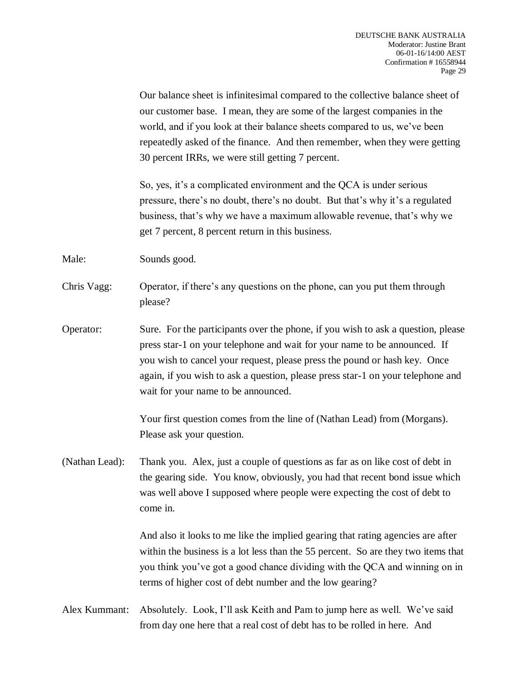Our balance sheet is infinitesimal compared to the collective balance sheet of our customer base. I mean, they are some of the largest companies in the world, and if you look at their balance sheets compared to us, we've been repeatedly asked of the finance. And then remember, when they were getting 30 percent IRRs, we were still getting 7 percent.

So, yes, it's a complicated environment and the QCA is under serious pressure, there's no doubt, there's no doubt. But that's why it's a regulated business, that's why we have a maximum allowable revenue, that's why we get 7 percent, 8 percent return in this business.

Male: Sounds good.

- Chris Vagg: Operator, if there's any questions on the phone, can you put them through please?
- Operator: Sure. For the participants over the phone, if you wish to ask a question, please press star-1 on your telephone and wait for your name to be announced. If you wish to cancel your request, please press the pound or hash key. Once again, if you wish to ask a question, please press star-1 on your telephone and wait for your name to be announced.

Your first question comes from the line of (Nathan Lead) from (Morgans). Please ask your question.

(Nathan Lead): Thank you. Alex, just a couple of questions as far as on like cost of debt in the gearing side. You know, obviously, you had that recent bond issue which was well above I supposed where people were expecting the cost of debt to come in.

> And also it looks to me like the implied gearing that rating agencies are after within the business is a lot less than the 55 percent. So are they two items that you think you've got a good chance dividing with the QCA and winning on in terms of higher cost of debt number and the low gearing?

Alex Kummant: Absolutely. Look, I'll ask Keith and Pam to jump here as well. We've said from day one here that a real cost of debt has to be rolled in here. And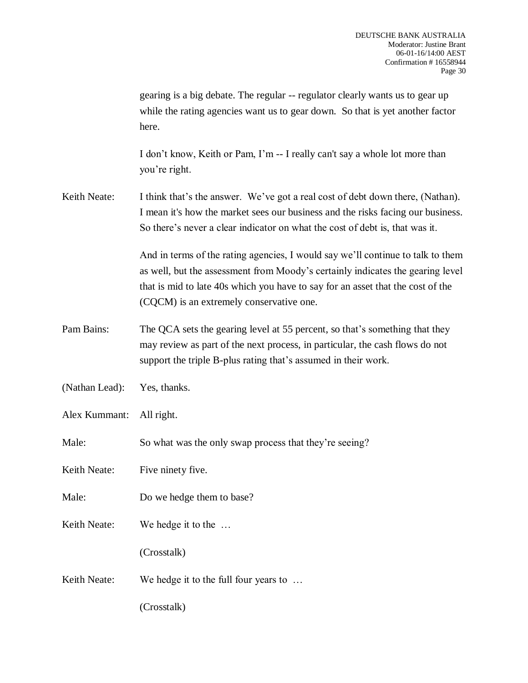|                | gearing is a big debate. The regular -- regulator clearly wants us to gear up<br>while the rating agencies want us to gear down. So that is yet another factor<br>here.                                                                                                                          |
|----------------|--------------------------------------------------------------------------------------------------------------------------------------------------------------------------------------------------------------------------------------------------------------------------------------------------|
|                | I don't know, Keith or Pam, I'm -- I really can't say a whole lot more than<br>you're right.                                                                                                                                                                                                     |
| Keith Neate:   | I think that's the answer. We've got a real cost of debt down there, (Nathan).<br>I mean it's how the market sees our business and the risks facing our business.<br>So there's never a clear indicator on what the cost of debt is, that was it.                                                |
|                | And in terms of the rating agencies, I would say we'll continue to talk to them<br>as well, but the assessment from Moody's certainly indicates the gearing level<br>that is mid to late 40s which you have to say for an asset that the cost of the<br>(CQCM) is an extremely conservative one. |
| Pam Bains:     | The QCA sets the gearing level at 55 percent, so that's something that they<br>may review as part of the next process, in particular, the cash flows do not<br>support the triple B-plus rating that's assumed in their work.                                                                    |
| (Nathan Lead): | Yes, thanks.                                                                                                                                                                                                                                                                                     |
| Alex Kummant:  | All right.                                                                                                                                                                                                                                                                                       |
| Male:          | So what was the only swap process that they're seeing?                                                                                                                                                                                                                                           |
| Keith Neate:   | Five ninety five.                                                                                                                                                                                                                                                                                |
| Male:          | Do we hedge them to base?                                                                                                                                                                                                                                                                        |
| Keith Neate:   | We hedge it to the                                                                                                                                                                                                                                                                               |
|                | (Crosstalk)                                                                                                                                                                                                                                                                                      |
| Keith Neate:   | We hedge it to the full four years to                                                                                                                                                                                                                                                            |
|                | (Crosstalk)                                                                                                                                                                                                                                                                                      |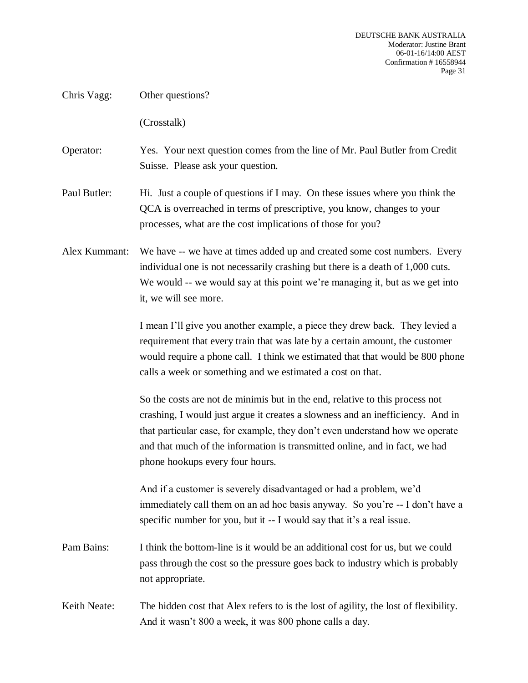Chris Vagg: Other questions?

(Crosstalk)

# Operator: Yes. Your next question comes from the line of Mr. Paul Butler from Credit Suisse. Please ask your question.

- Paul Butler: Hi. Just a couple of questions if I may. On these issues where you think the QCA is overreached in terms of prescriptive, you know, changes to your processes, what are the cost implications of those for you?
- Alex Kummant: We have -- we have at times added up and created some cost numbers. Every individual one is not necessarily crashing but there is a death of 1,000 cuts. We would -- we would say at this point we're managing it, but as we get into it, we will see more.

I mean I'll give you another example, a piece they drew back. They levied a requirement that every train that was late by a certain amount, the customer would require a phone call. I think we estimated that that would be 800 phone calls a week or something and we estimated a cost on that.

So the costs are not de minimis but in the end, relative to this process not crashing, I would just argue it creates a slowness and an inefficiency. And in that particular case, for example, they don't even understand how we operate and that much of the information is transmitted online, and in fact, we had phone hookups every four hours.

And if a customer is severely disadvantaged or had a problem, we'd immediately call them on an ad hoc basis anyway. So you're -- I don't have a specific number for you, but it -- I would say that it's a real issue.

- Pam Bains: I think the bottom-line is it would be an additional cost for us, but we could pass through the cost so the pressure goes back to industry which is probably not appropriate.
- Keith Neate: The hidden cost that Alex refers to is the lost of agility, the lost of flexibility. And it wasn't 800 a week, it was 800 phone calls a day.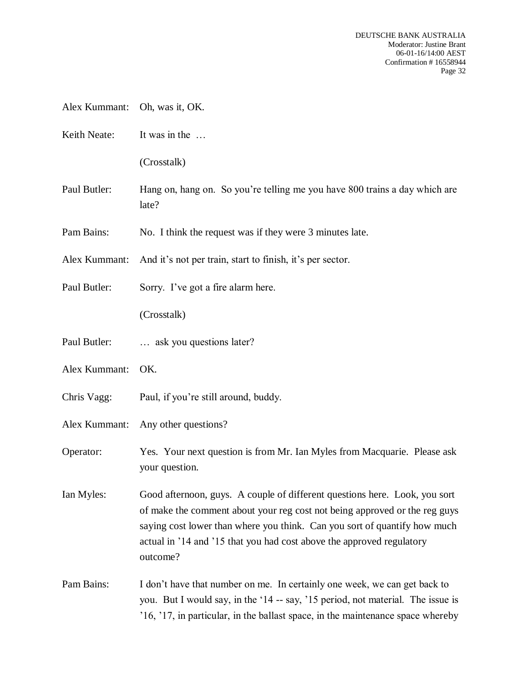- Alex Kummant: Oh, was it, OK.
- Keith Neate: It was in the ...

(Crosstalk)

- Paul Butler: Hang on, hang on. So you're telling me you have 800 trains a day which are late?
- Pam Bains: No. I think the request was if they were 3 minutes late.

Alex Kummant: And it's not per train, start to finish, it's per sector.

Paul Butler: Sorry. I've got a fire alarm here.

(Crosstalk)

- Paul Butler: ... ask you questions later?
- Alex Kummant: OK.
- Chris Vagg: Paul, if you're still around, buddy.
- Alex Kummant: Any other questions?
- Operator: Yes. Your next question is from Mr. Ian Myles from Macquarie. Please ask your question.

Ian Myles: Good afternoon, guys. A couple of different questions here. Look, you sort of make the comment about your reg cost not being approved or the reg guys saying cost lower than where you think. Can you sort of quantify how much actual in '14 and '15 that you had cost above the approved regulatory outcome?

Pam Bains: I don't have that number on me. In certainly one week, we can get back to you. But I would say, in the '14 -- say, '15 period, not material. The issue is '16, '17, in particular, in the ballast space, in the maintenance space whereby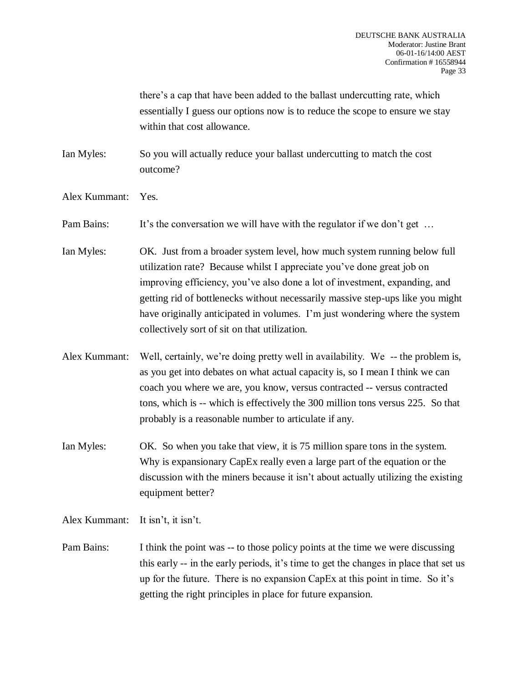there's a cap that have been added to the ballast undercutting rate, which essentially I guess our options now is to reduce the scope to ensure we stay within that cost allowance.

Ian Myles: So you will actually reduce your ballast undercutting to match the cost outcome?

Alex Kummant: Yes.

Pam Bains: It's the conversation we will have with the regulator if we don't get ...

- Ian Myles: OK. Just from a broader system level, how much system running below full utilization rate? Because whilst I appreciate you've done great job on improving efficiency, you've also done a lot of investment, expanding, and getting rid of bottlenecks without necessarily massive step-ups like you might have originally anticipated in volumes. I'm just wondering where the system collectively sort of sit on that utilization.
- Alex Kummant: Well, certainly, we're doing pretty well in availability. We -- the problem is, as you get into debates on what actual capacity is, so I mean I think we can coach you where we are, you know, versus contracted -- versus contracted tons, which is -- which is effectively the 300 million tons versus 225. So that probably is a reasonable number to articulate if any.
- Ian Myles: OK. So when you take that view, it is 75 million spare tons in the system. Why is expansionary CapEx really even a large part of the equation or the discussion with the miners because it isn't about actually utilizing the existing equipment better?

Alex Kummant: It isn't, it isn't.

Pam Bains: I think the point was -- to those policy points at the time we were discussing this early -- in the early periods, it's time to get the changes in place that set us up for the future. There is no expansion CapEx at this point in time. So it's getting the right principles in place for future expansion.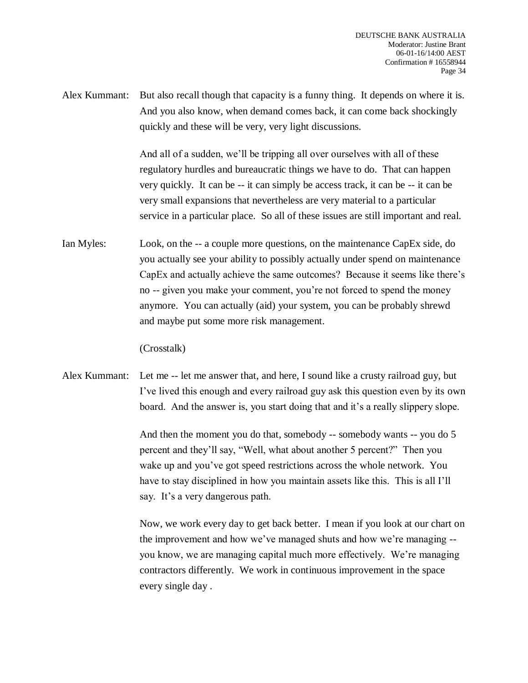Alex Kummant: But also recall though that capacity is a funny thing. It depends on where it is. And you also know, when demand comes back, it can come back shockingly quickly and these will be very, very light discussions.

> And all of a sudden, we'll be tripping all over ourselves with all of these regulatory hurdles and bureaucratic things we have to do. That can happen very quickly. It can be -- it can simply be access track, it can be -- it can be very small expansions that nevertheless are very material to a particular service in a particular place. So all of these issues are still important and real.

Ian Myles: Look, on the -- a couple more questions, on the maintenance CapEx side, do you actually see your ability to possibly actually under spend on maintenance CapEx and actually achieve the same outcomes? Because it seems like there's no -- given you make your comment, you're not forced to spend the money anymore. You can actually (aid) your system, you can be probably shrewd and maybe put some more risk management.

(Crosstalk)

Alex Kummant: Let me -- let me answer that, and here, I sound like a crusty railroad guy, but I've lived this enough and every railroad guy ask this question even by its own board. And the answer is, you start doing that and it's a really slippery slope.

> And then the moment you do that, somebody -- somebody wants -- you do 5 percent and they'll say, "Well, what about another 5 percent?" Then you wake up and you've got speed restrictions across the whole network. You have to stay disciplined in how you maintain assets like this. This is all I'll say. It's a very dangerous path.

Now, we work every day to get back better. I mean if you look at our chart on the improvement and how we've managed shuts and how we're managing - you know, we are managing capital much more effectively. We're managing contractors differently. We work in continuous improvement in the space every single day .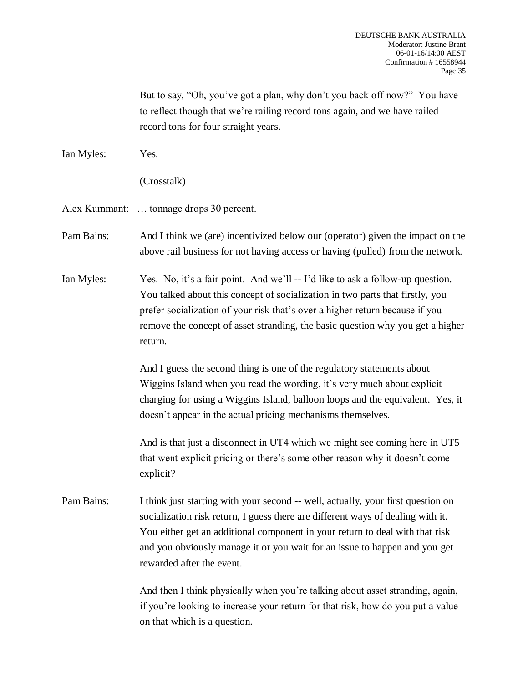But to say, "Oh, you've got a plan, why don't you back off now?" You have to reflect though that we're railing record tons again, and we have railed record tons for four straight years.

Ian Myles: Yes.

(Crosstalk)

Alex Kummant: … tonnage drops 30 percent.

Pam Bains: And I think we (are) incentivized below our (operator) given the impact on the above rail business for not having access or having (pulled) from the network.

Ian Myles: Yes. No, it's a fair point. And we'll -- I'd like to ask a follow-up question. You talked about this concept of socialization in two parts that firstly, you prefer socialization of your risk that's over a higher return because if you remove the concept of asset stranding, the basic question why you get a higher return.

> And I guess the second thing is one of the regulatory statements about Wiggins Island when you read the wording, it's very much about explicit charging for using a Wiggins Island, balloon loops and the equivalent. Yes, it doesn't appear in the actual pricing mechanisms themselves.

> And is that just a disconnect in UT4 which we might see coming here in UT5 that went explicit pricing or there's some other reason why it doesn't come explicit?

Pam Bains: I think just starting with your second -- well, actually, your first question on socialization risk return, I guess there are different ways of dealing with it. You either get an additional component in your return to deal with that risk and you obviously manage it or you wait for an issue to happen and you get rewarded after the event.

> And then I think physically when you're talking about asset stranding, again, if you're looking to increase your return for that risk, how do you put a value on that which is a question.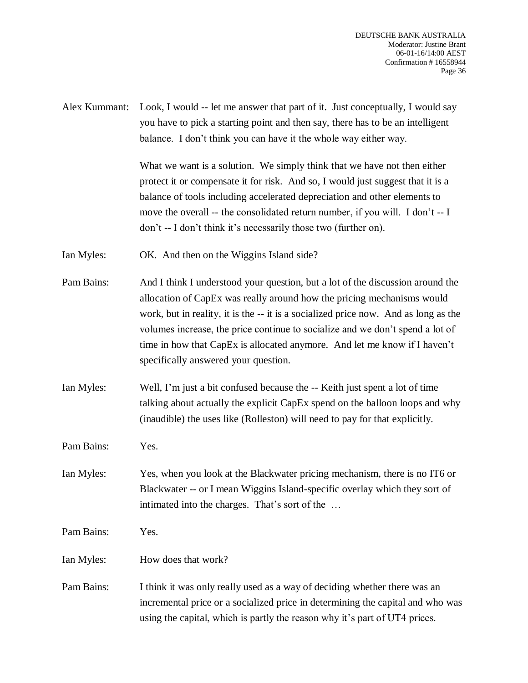Alex Kummant: Look, I would -- let me answer that part of it. Just conceptually, I would say you have to pick a starting point and then say, there has to be an intelligent balance. I don't think you can have it the whole way either way.

> What we want is a solution. We simply think that we have not then either protect it or compensate it for risk. And so, I would just suggest that it is a balance of tools including accelerated depreciation and other elements to move the overall -- the consolidated return number, if you will. I don't -- I don't -- I don't think it's necessarily those two (further on).

Ian Myles: OK. And then on the Wiggins Island side?

- Pam Bains: And I think I understood your question, but a lot of the discussion around the allocation of CapEx was really around how the pricing mechanisms would work, but in reality, it is the -- it is a socialized price now. And as long as the volumes increase, the price continue to socialize and we don't spend a lot of time in how that CapEx is allocated anymore. And let me know if I haven't specifically answered your question.
- Ian Myles: Well, I'm just a bit confused because the -- Keith just spent a lot of time talking about actually the explicit CapEx spend on the balloon loops and why (inaudible) the uses like (Rolleston) will need to pay for that explicitly.

Pam Bains: Yes.

Ian Myles: Yes, when you look at the Blackwater pricing mechanism, there is no IT6 or Blackwater -- or I mean Wiggins Island-specific overlay which they sort of intimated into the charges. That's sort of the …

Pam Bains: Yes.

Ian Myles: How does that work?

Pam Bains: I think it was only really used as a way of deciding whether there was an incremental price or a socialized price in determining the capital and who was using the capital, which is partly the reason why it's part of UT4 prices.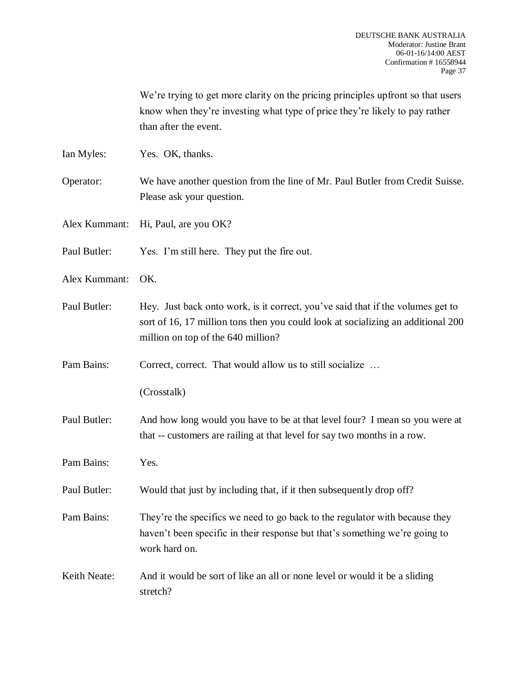|               | We're trying to get more clarity on the pricing principles upfront so that users<br>know when they're investing what type of price they're likely to pay rather<br>than after the event.                  |
|---------------|-----------------------------------------------------------------------------------------------------------------------------------------------------------------------------------------------------------|
| Ian Myles:    | Yes. OK, thanks.                                                                                                                                                                                          |
| Operator:     | We have another question from the line of Mr. Paul Butler from Credit Suisse.<br>Please ask your question.                                                                                                |
| Alex Kummant: | Hi, Paul, are you OK?                                                                                                                                                                                     |
| Paul Butler:  | Yes. I'm still here. They put the fire out.                                                                                                                                                               |
| Alex Kummant: | OK.                                                                                                                                                                                                       |
| Paul Butler:  | Hey. Just back onto work, is it correct, you've said that if the volumes get to<br>sort of 16, 17 million tons then you could look at socializing an additional 200<br>million on top of the 640 million? |
| Pam Bains:    | Correct, correct. That would allow us to still socialize                                                                                                                                                  |
|               | (Crosstalk)                                                                                                                                                                                               |
| Paul Butler:  | And how long would you have to be at that level four? I mean so you were at<br>that -- customers are railing at that level for say two months in a row.                                                   |
| Pam Bains:    | Yes.                                                                                                                                                                                                      |
| Paul Butler:  | Would that just by including that, if it then subsequently drop off?                                                                                                                                      |
| Pam Bains:    | They're the specifics we need to go back to the regulator with because they<br>haven't been specific in their response but that's something we're going to<br>work hard on.                               |
| Keith Neate:  | And it would be sort of like an all or none level or would it be a sliding<br>stretch?                                                                                                                    |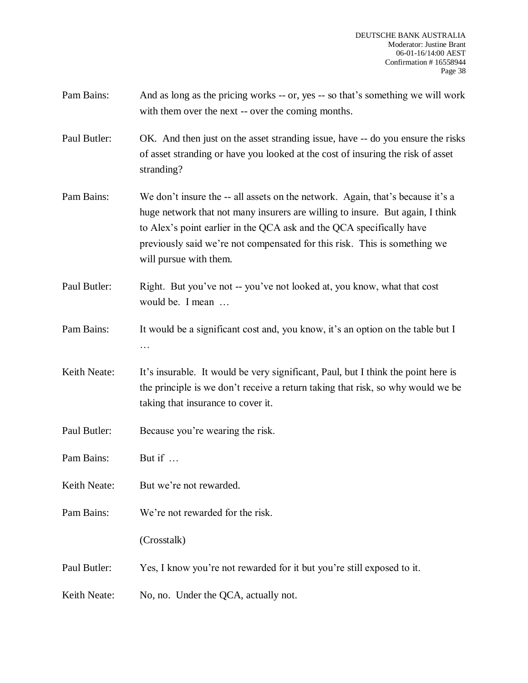- Pam Bains: And as long as the pricing works -- or, yes -- so that's something we will work with them over the next -- over the coming months.
- Paul Butler: OK. And then just on the asset stranding issue, have -- do you ensure the risks of asset stranding or have you looked at the cost of insuring the risk of asset stranding?
- Pam Bains: We don't insure the -- all assets on the network. Again, that's because it's a huge network that not many insurers are willing to insure. But again, I think to Alex's point earlier in the QCA ask and the QCA specifically have previously said we're not compensated for this risk. This is something we will pursue with them.
- Paul Butler: Right. But you've not -- you've not looked at, you know, what that cost would be. I mean …
- Pam Bains: It would be a significant cost and, you know, it's an option on the table but I …
- Keith Neate: It's insurable. It would be very significant, Paul, but I think the point here is the principle is we don't receive a return taking that risk, so why would we be taking that insurance to cover it.
- Paul Butler: Because you're wearing the risk.
- Pam Bains: But if …
- Keith Neate: But we're not rewarded.
- Pam Bains: We're not rewarded for the risk.
	- (Crosstalk)
- Paul Butler: Yes, I know you're not rewarded for it but you're still exposed to it.
- Keith Neate: No, no. Under the QCA, actually not.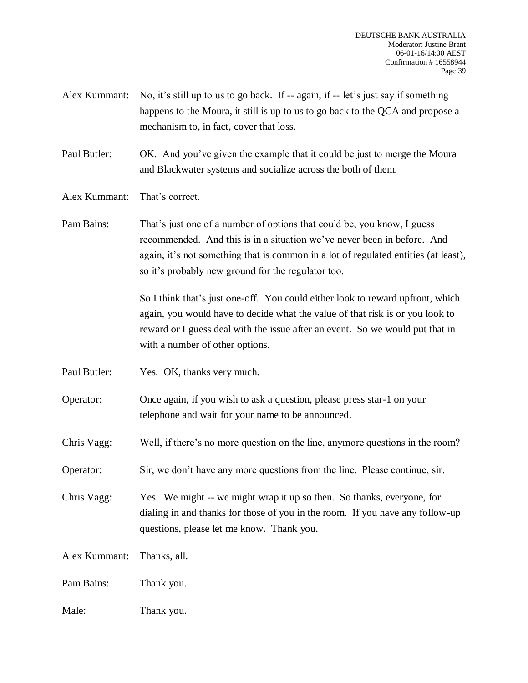- Alex Kummant: No, it's still up to us to go back. If -- again, if -- let's just say if something happens to the Moura, it still is up to us to go back to the QCA and propose a mechanism to, in fact, cover that loss.
- Paul Butler: OK. And you've given the example that it could be just to merge the Moura and Blackwater systems and socialize across the both of them.
- Alex Kummant: That's correct.
- Pam Bains: That's just one of a number of options that could be, you know, I guess recommended. And this is in a situation we've never been in before. And again, it's not something that is common in a lot of regulated entities (at least), so it's probably new ground for the regulator too.

So I think that's just one-off. You could either look to reward upfront, which again, you would have to decide what the value of that risk is or you look to reward or I guess deal with the issue after an event. So we would put that in with a number of other options.

Paul Butler: Yes. OK, thanks very much.

Operator: Once again, if you wish to ask a question, please press star-1 on your telephone and wait for your name to be announced.

Chris Vagg: Well, if there's no more question on the line, anymore questions in the room?

Operator: Sir, we don't have any more questions from the line. Please continue, sir.

Chris Vagg: Yes. We might -- we might wrap it up so then. So thanks, everyone, for dialing in and thanks for those of you in the room. If you have any follow-up questions, please let me know. Thank you.

Alex Kummant: Thanks, all.

Pam Bains: Thank you.

Male: Thank you.